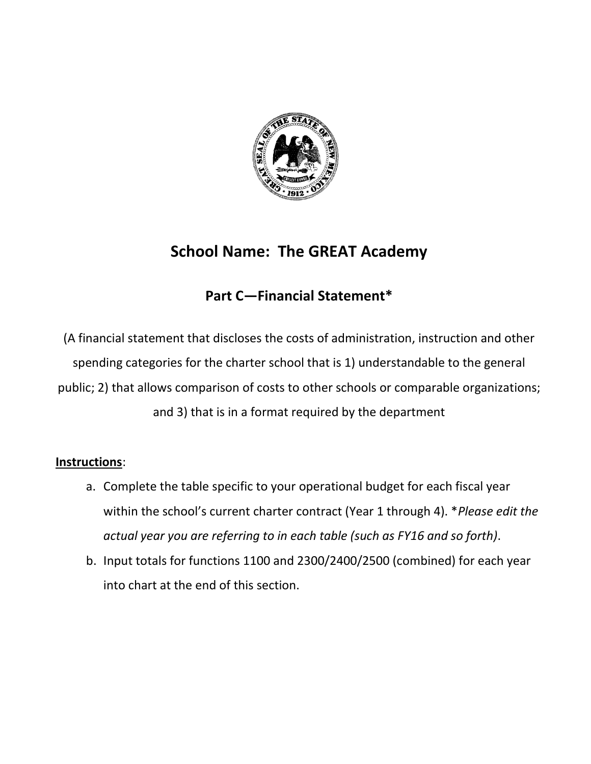

## **School Name: The GREAT Academy**

### **Part C—Financial Statement\***

(A financial statement that discloses the costs of administration, instruction and other spending categories for the charter school that is 1) understandable to the general public; 2) that allows comparison of costs to other schools or comparable organizations; and 3) that is in a format required by the department

#### **Instructions**:

- a. Complete the table specific to your operational budget for each fiscal year within the school's current charter contract (Year 1 through 4). \**Please edit the actual year you are referring to in each table (such as FY16 and so forth)*.
- b. Input totals for functions 1100 and 2300/2400/2500 (combined) for each year into chart at the end of this section.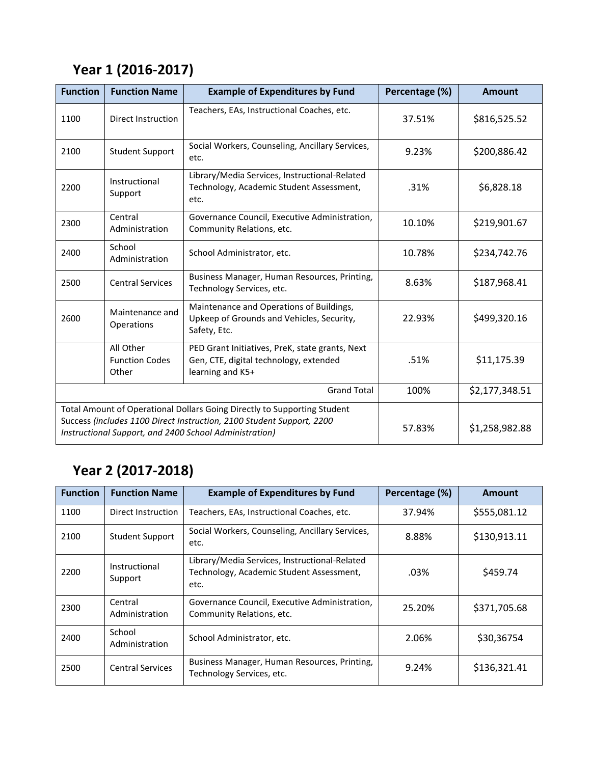## **Year 1 (2016-2017)**

| <b>Function</b>                                                                                                                                                                                             | <b>Function Name</b>                        | <b>Example of Expenditures by Fund</b>                                                                        | Percentage (%) | <b>Amount</b>  |
|-------------------------------------------------------------------------------------------------------------------------------------------------------------------------------------------------------------|---------------------------------------------|---------------------------------------------------------------------------------------------------------------|----------------|----------------|
| 1100                                                                                                                                                                                                        | Direct Instruction                          | Teachers, EAs, Instructional Coaches, etc.                                                                    | 37.51%         | \$816,525.52   |
| 2100                                                                                                                                                                                                        | <b>Student Support</b>                      | Social Workers, Counseling, Ancillary Services,<br>etc.                                                       | 9.23%          | \$200,886.42   |
| 2200                                                                                                                                                                                                        | Instructional<br>Support                    | Library/Media Services, Instructional-Related<br>Technology, Academic Student Assessment,<br>etc.             | .31%           | \$6,828.18     |
| 2300                                                                                                                                                                                                        | Central<br>Administration                   | Governance Council, Executive Administration,<br>Community Relations, etc.                                    | 10.10%         | \$219,901.67   |
| 2400                                                                                                                                                                                                        | School<br>Administration                    | School Administrator, etc.                                                                                    | 10.78%         | \$234,742.76   |
| 2500                                                                                                                                                                                                        | <b>Central Services</b>                     | Business Manager, Human Resources, Printing,<br>Technology Services, etc.                                     | 8.63%          | \$187,968.41   |
| 2600                                                                                                                                                                                                        | Maintenance and<br>Operations               | Maintenance and Operations of Buildings,<br>Upkeep of Grounds and Vehicles, Security,<br>Safety, Etc.         | 22.93%         | \$499,320.16   |
|                                                                                                                                                                                                             | All Other<br><b>Function Codes</b><br>Other | PED Grant Initiatives, PreK, state grants, Next<br>Gen, CTE, digital technology, extended<br>learning and K5+ | .51%           | \$11,175.39    |
| <b>Grand Total</b>                                                                                                                                                                                          |                                             |                                                                                                               | 100%           | \$2,177,348.51 |
| Total Amount of Operational Dollars Going Directly to Supporting Student<br>Success (includes 1100 Direct Instruction, 2100 Student Support, 2200<br>Instructional Support, and 2400 School Administration) |                                             |                                                                                                               | 57.83%         | \$1,258,982.88 |

# **Year 2 (2017-2018)**

| <b>Function</b> | <b>Function Name</b>      | <b>Example of Expenditures by Fund</b>                                                            | Percentage (%) | Amount       |
|-----------------|---------------------------|---------------------------------------------------------------------------------------------------|----------------|--------------|
| 1100            | Direct Instruction        | Teachers, EAs, Instructional Coaches, etc.                                                        | 37.94%         | \$555,081.12 |
| 2100            | <b>Student Support</b>    | Social Workers, Counseling, Ancillary Services,<br>etc.                                           | 8.88%          | \$130,913.11 |
| 2200            | Instructional<br>Support  | Library/Media Services, Instructional-Related<br>Technology, Academic Student Assessment,<br>etc. | .03%           | \$459.74     |
| 2300            | Central<br>Administration | Governance Council, Executive Administration,<br>Community Relations, etc.                        | 25.20%         | \$371,705.68 |
| 2400            | School<br>Administration  | School Administrator, etc.                                                                        | 2.06%          | \$30,36754   |
| 2500            | <b>Central Services</b>   | Business Manager, Human Resources, Printing,<br>Technology Services, etc.                         | 9.24%          | \$136,321.41 |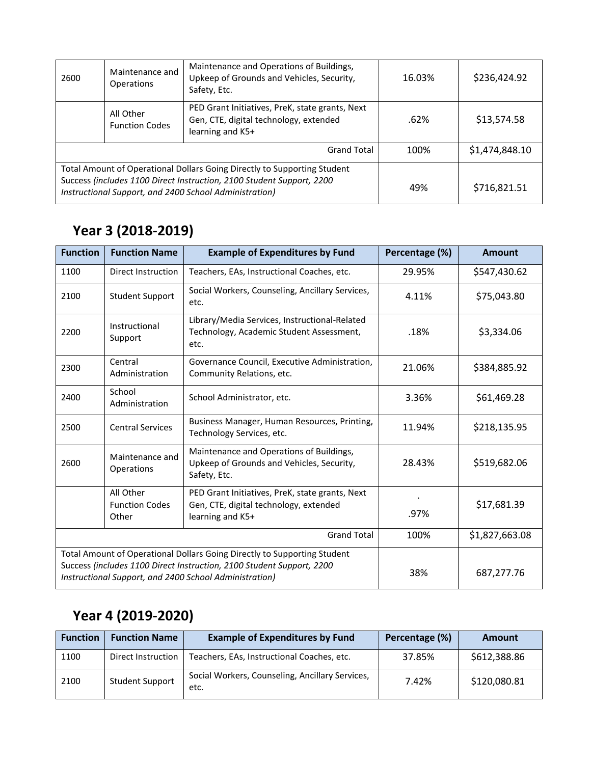| 2600                                                                                                                                                                                                        | Maintenance and<br><b>Operations</b> | Maintenance and Operations of Buildings,<br>Upkeep of Grounds and Vehicles, Security,<br>Safety, Etc.         | 16.03% | \$236,424.92   |
|-------------------------------------------------------------------------------------------------------------------------------------------------------------------------------------------------------------|--------------------------------------|---------------------------------------------------------------------------------------------------------------|--------|----------------|
|                                                                                                                                                                                                             | All Other<br><b>Function Codes</b>   | PED Grant Initiatives, PreK, state grants, Next<br>Gen, CTE, digital technology, extended<br>learning and K5+ | .62%   | \$13,574.58    |
| <b>Grand Total</b>                                                                                                                                                                                          |                                      |                                                                                                               | 100%   | \$1,474,848.10 |
| Total Amount of Operational Dollars Going Directly to Supporting Student<br>Success (includes 1100 Direct Instruction, 2100 Student Support, 2200<br>Instructional Support, and 2400 School Administration) |                                      |                                                                                                               | 49%    | \$716,821.51   |

### **Year 3 (2018-2019)**

| <b>Function</b>                                                                                                                                                                                             | <b>Function Name</b>                        | <b>Example of Expenditures by Fund</b>                                                                        | Percentage (%) | <b>Amount</b>  |
|-------------------------------------------------------------------------------------------------------------------------------------------------------------------------------------------------------------|---------------------------------------------|---------------------------------------------------------------------------------------------------------------|----------------|----------------|
| 1100                                                                                                                                                                                                        | Direct Instruction                          | Teachers, EAs, Instructional Coaches, etc.                                                                    | 29.95%         | \$547,430.62   |
| 2100                                                                                                                                                                                                        | <b>Student Support</b>                      | Social Workers, Counseling, Ancillary Services,<br>etc.                                                       | 4.11%          | \$75,043.80    |
| 2200                                                                                                                                                                                                        | Instructional<br>Support                    | Library/Media Services, Instructional-Related<br>Technology, Academic Student Assessment,<br>etc.             | .18%           | \$3,334.06     |
| 2300                                                                                                                                                                                                        | Central<br>Administration                   | Governance Council, Executive Administration,<br>Community Relations, etc.                                    | 21.06%         | \$384,885.92   |
| 2400                                                                                                                                                                                                        | School<br>Administration                    | School Administrator, etc.                                                                                    | 3.36%          | \$61,469.28    |
| 2500                                                                                                                                                                                                        | <b>Central Services</b>                     | Business Manager, Human Resources, Printing,<br>Technology Services, etc.                                     | 11.94%         | \$218,135.95   |
| 2600                                                                                                                                                                                                        | Maintenance and<br>Operations               | Maintenance and Operations of Buildings,<br>Upkeep of Grounds and Vehicles, Security,<br>Safety, Etc.         | 28.43%         | \$519,682.06   |
|                                                                                                                                                                                                             | All Other<br><b>Function Codes</b><br>Other | PED Grant Initiatives, PreK, state grants, Next<br>Gen, CTE, digital technology, extended<br>learning and K5+ | .97%           | \$17,681.39    |
| <b>Grand Total</b>                                                                                                                                                                                          |                                             |                                                                                                               | 100%           | \$1,827,663.08 |
| Total Amount of Operational Dollars Going Directly to Supporting Student<br>Success (includes 1100 Direct Instruction, 2100 Student Support, 2200<br>Instructional Support, and 2400 School Administration) |                                             |                                                                                                               | 38%            | 687,277.76     |

# **Year 4 (2019-2020)**

| <b>Function</b> | <b>Function Name</b>   | <b>Example of Expenditures by Fund</b>                  | Percentage (%) | <b>Amount</b> |
|-----------------|------------------------|---------------------------------------------------------|----------------|---------------|
| 1100            | Direct Instruction     | Teachers, EAs, Instructional Coaches, etc.              | 37.85%         | \$612,388.86  |
| 2100            | <b>Student Support</b> | Social Workers, Counseling, Ancillary Services,<br>etc. | 7.42%          | \$120,080.81  |